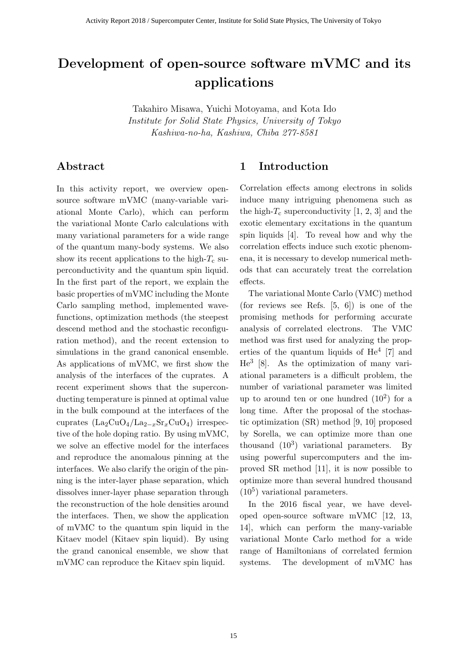# **Development of open-source software mVMC and its applications**

Takahiro Misawa, Yuichi Motoyama, and Kota Ido *Institute for Solid State Physics, University of Tokyo Kashiwa-no-ha, Kashiwa, Chiba 277-8581*

# **Abstract**

In this activity report, we overview opensource software mVMC (many-variable variational Monte Carlo), which can perform the variational Monte Carlo calculations with many variational parameters for a wide range of the quantum many-body systems. We also show its recent applications to the high- $T_c$  superconductivity and the quantum spin liquid. In the first part of the report, we explain the basic properties of mVMC including the Monte Carlo sampling method, implemented wavefunctions, optimization methods (the steepest descend method and the stochastic reconfiguration method), and the recent extension to simulations in the grand canonical ensemble. As applications of mVMC, we first show the analysis of the interfaces of the cuprates. A recent experiment shows that the superconducting temperature is pinned at optimal value in the bulk compound at the interfaces of the cuprates (La2CuO4/La2*−x*Sr*x*CuO4) irrespective of the hole doping ratio. By using mVMC, we solve an effective model for the interfaces and reproduce the anomalous pinning at the interfaces. We also clarify the origin of the pinning is the inter-layer phase separation, which dissolves inner-layer phase separation through the reconstruction of the hole densities around the interfaces. Then, we show the application of mVMC to the quantum spin liquid in the Kitaev model (Kitaev spin liquid). By using the grand canonical ensemble, we show that mVMC can reproduce the Kitaev spin liquid.

# **1 Introduction**

Correlation effects among electrons in solids induce many intriguing phenomena such as the high- $T_c$  superconductivity [1, 2, 3] and the exotic elementary excitations in the quantum spin liquids [4]. To reveal how and why the correlation effects induce such exotic phenomena, it is necessary to develop numerical methods that can accurately treat the correlation effects.

The variational Monte Carlo (VMC) method (for reviews see Refs. [5, 6]) is one of the promising methods for performing accurate analysis of correlated electrons. The VMC method was first used for analyzing the properties of the quantum liquids of  $He<sup>4</sup>$  [7] and He<sup>3</sup> [8]. As the optimization of many variational parameters is a difficult problem, the number of variational parameter was limited up to around ten or one hundred  $(10^2)$  for a long time. After the proposal of the stochastic optimization (SR) method [9, 10] proposed by Sorella, we can optimize more than one thousand  $(10^3)$  variational parameters. By using powerful supercomputers and the improved SR method [11], it is now possible to optimize more than several hundred thousand  $(10<sup>5</sup>)$  variational parameters.

In the 2016 fiscal year, we have developed open-source software mVMC [12, 13, 14], which can perform the many-variable variational Monte Carlo method for a wide range of Hamiltonians of correlated fermion systems. The development of mVMC has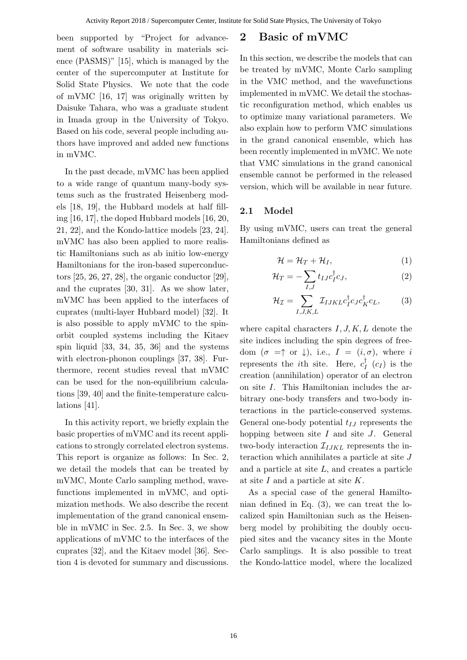been supported by "Project for advancement of software usability in materials science (PASMS)" [15], which is managed by the center of the supercomputer at Institute for Solid State Physics. We note that the code of mVMC [16, 17] was originally written by Daisuke Tahara, who was a graduate student in Imada group in the University of Tokyo. Based on his code, several people including authors have improved and added new functions in mVMC.

In the past decade, mVMC has been applied to a wide range of quantum many-body systems such as the frustrated Heisenberg models [18, 19], the Hubbard models at half filling [16, 17], the doped Hubbard models [16, 20, 21, 22], and the Kondo-lattice models [23, 24]. mVMC has also been applied to more realistic Hamiltonians such as ab initio low-energy Hamiltonians for the iron-based superconductors [25, 26, 27, 28], the organic conductor [29], and the cuprates [30, 31]. As we show later, mVMC has been applied to the interfaces of cuprates (multi-layer Hubbard model) [32]. It is also possible to apply mVMC to the spinorbit coupled systems including the Kitaev spin liquid [33, 34, 35, 36] and the systems with electron-phonon couplings [37, 38]. Furthermore, recent studies reveal that mVMC can be used for the non-equilibrium calculations [39, 40] and the finite-temperature calculations [41].

In this activity report, we briefly explain the basic properties of mVMC and its recent applications to strongly correlated electron systems. This report is organize as follows: In Sec. 2, we detail the models that can be treated by mVMC, Monte Carlo sampling method, wavefunctions implemented in mVMC, and optimization methods. We also describe the recent implementation of the grand canonical ensemble in mVMC in Sec. 2.5. In Sec. 3, we show applications of mVMC to the interfaces of the cuprates [32], and the Kitaev model [36]. Section 4 is devoted for summary and discussions.

# **2 Basic of mVMC**

In this section, we describe the models that can be treated by mVMC, Monte Carlo sampling in the VMC method, and the wavefunctions implemented in mVMC. We detail the stochastic reconfiguration method, which enables us to optimize many variational parameters. We also explain how to perform VMC simulations in the grand canonical ensemble, which has been recently implemented in mVMC. We note that VMC simulations in the grand canonical ensemble cannot be performed in the released version, which will be available in near future.

### **2.1 Model**

By using mVMC, users can treat the general Hamiltonians defined as

$$
\mathcal{H} = \mathcal{H}_T + \mathcal{H}_I, \tag{1}
$$

$$
\mathcal{H}_T = -\sum_{I,J} t_{IJ} c_I^{\dagger} c_J, \qquad (2)
$$

$$
\mathcal{H}_{\mathcal{I}} = \sum_{I,J,K,L} \mathcal{I}_{IJKL} c_I^{\dagger} c_J c_K^{\dagger} c_L, \tag{3}
$$

where capital characters *I, J, K, L* denote the site indices including the spin degrees of freedom  $(\sigma = \uparrow \text{or } \downarrow)$ , i.e.,  $I = (i, \sigma)$ , where *i* represents the *i*th site. Here,  $c_I^{\dagger}$  ( $c_I$ ) is the creation (annihilation) operator of an electron on site *I*. This Hamiltonian includes the arbitrary one-body transfers and two-body interactions in the particle-conserved systems. General one-body potential *tIJ* represents the hopping between site *I* and site *J*. General two-body interaction  $\mathcal{I}_{IJKL}$  represents the interaction which annihilates a particle at site *J* and a particle at site *L*, and creates a particle at site *I* and a particle at site *K*.

As a special case of the general Hamiltonian defined in Eq. (3), we can treat the localized spin Hamiltonian such as the Heisenberg model by prohibiting the doubly occupied sites and the vacancy sites in the Monte Carlo samplings. It is also possible to treat the Kondo-lattice model, where the localized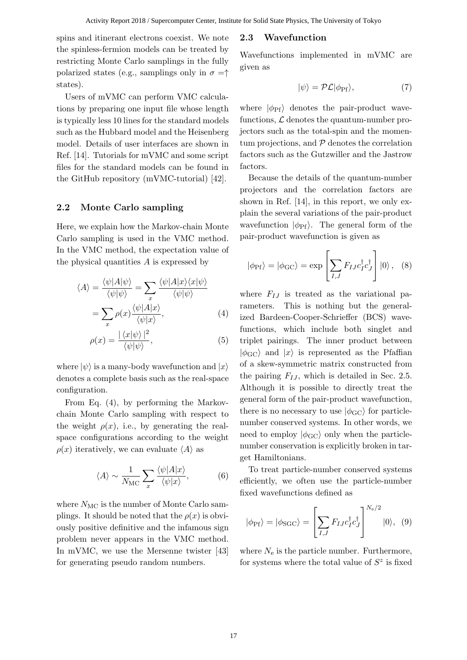spins and itinerant electrons coexist. We note the spinless-fermion models can be treated by restricting Monte Carlo samplings in the fully polarized states (e.g., samplings only in  $\sigma = \uparrow$ states).

Users of mVMC can perform VMC calculations by preparing one input file whose length is typically less 10 lines for the standard models such as the Hubbard model and the Heisenberg model. Details of user interfaces are shown in Ref. [14]. Tutorials for mVMC and some script files for the standard models can be found in the GitHub repository (mVMC-tutorial) [42].

### **2.2 Monte Carlo sampling**

Here, we explain how the Markov-chain Monte Carlo sampling is used in the VMC method. In the VMC method, the expectation value of the physical quantities *A* is expressed by

$$
\langle A \rangle = \frac{\langle \psi | A | \psi \rangle}{\langle \psi | \psi \rangle} = \sum_{x} \frac{\langle \psi | A | x \rangle \langle x | \psi \rangle}{\langle \psi | \psi \rangle}
$$

$$
= \sum_{x} \rho(x) \frac{\langle \psi | A | x \rangle}{\langle \psi | x \rangle}, \tag{4}
$$

$$
\rho(x) = \frac{|\langle x|\psi\rangle|^2}{\langle \psi|\psi\rangle},\tag{5}
$$

where  $|\psi\rangle$  is a many-body wavefunction and  $|x\rangle$ denotes a complete basis such as the real-space configuration.

From Eq. (4), by performing the Markovchain Monte Carlo sampling with respect to the weight  $\rho(x)$ , i.e., by generating the realspace configurations according to the weight  $\rho(x)$  iteratively, we can evaluate  $\langle A \rangle$  as

$$
\langle A \rangle \sim \frac{1}{N_{\rm MC}} \sum_{x} \frac{\langle \psi | A | x \rangle}{\langle \psi | x \rangle},\tag{6}
$$

where  $N_{MC}$  is the number of Monte Carlo samplings. It should be noted that the  $\rho(x)$  is obviously positive definitive and the infamous sign problem never appears in the VMC method. In mVMC, we use the Mersenne twister [43] for generating pseudo random numbers.

### **2.3 Wavefunction**

Wavefunctions implemented in mVMC are given as

$$
|\psi\rangle = \mathcal{PL}|\phi_{\text{Pf}}\rangle,\tag{7}
$$

where  $|\phi_{\text{Pf}}\rangle$  denotes the pair-product wavefunctions,  $\mathcal L$  denotes the quantum-number projectors such as the total-spin and the momentum projections, and *P* denotes the correlation factors such as the Gutzwiller and the Jastrow factors.

Because the details of the quantum-number projectors and the correlation factors are shown in Ref. [14], in this report, we only explain the several variations of the pair-product wavefunction  $|\phi_{\text{Pf}}\rangle$ . The general form of the pair-product wavefunction is given as

$$
|\phi_{\rm Pf}\rangle = |\phi_{\rm GC}\rangle = \exp\left[\sum_{I,J} F_{IJ} c_I^{\dagger} c_J^{\dagger}\right] |0\rangle, \quad (8)
$$

where  $F_{IJ}$  is treated as the variational parameters. This is nothing but the generalized Bardeen-Cooper-Schrieffer (BCS) wavefunctions, which include both singlet and triplet pairings. The inner product between  $|\phi_{\rm GC}\rangle$  and  $|x\rangle$  is represented as the Pfaffian of a skew-symmetric matrix constructed from the pairing  $F_{IJ}$ , which is detailed in Sec. 2.5. Although it is possible to directly treat the general form of the pair-product wavefunction, there is no necessary to use  $|\phi_{\rm GC}\rangle$  for particlenumber conserved systems. In other words, we need to employ  $|\phi_{\rm GC}\rangle$  only when the particlenumber conservation is explicitly broken in target Hamiltonians.

To treat particle-number conserved systems efficiently, we often use the particle-number fixed wavefunctions defined as

$$
|\phi_{\rm Pf}\rangle = |\phi_{\rm SGC}\rangle = \left[\sum_{I,J} F_{IJ} c_I^{\dagger} c_J^{\dagger}\right]^{N_e/2} |0\rangle, \tag{9}
$$

where  $N_e$  is the particle number. Furthermore, for systems where the total value of  $S^z$  is fixed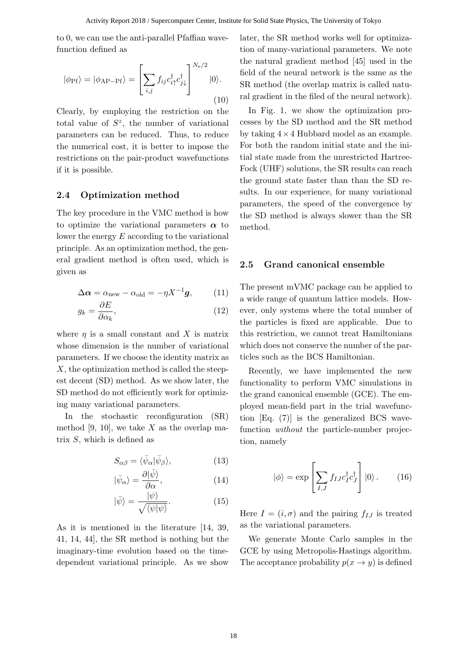to 0, we can use the anti-parallel Pfaffian wavefunction defined as

$$
|\phi_{\rm Pf}\rangle = |\phi_{\rm AP-Pf}\rangle = \left[\sum_{i,j} f_{ij} c_{i\uparrow}^{\dagger} c_{j\downarrow}^{\dagger}\right]^{N_{\rm e}/2} |0\rangle.
$$
\n(10)

Clearly, by employing the restriction on the total value of  $S^z$ , the number of variational parameters can be reduced. Thus, to reduce the numerical cost, it is better to impose the restrictions on the pair-product wavefunctions if it is possible.

#### **2.4 Optimization method**

The key procedure in the VMC method is how to optimize the variational parameters  $\alpha$  to lower the energy *E* according to the variational principle. As an optimization method, the general gradient method is often used, which is given as

$$
\Delta \alpha = \alpha_{\text{new}} - \alpha_{\text{old}} = -\eta X^{-1} g, \qquad (11)
$$

$$
g_k = \frac{\partial E}{\partial \alpha_k},\tag{12}
$$

where  $\eta$  is a small constant and X is matrix whose dimension is the number of variational parameters. If we choose the identity matrix as *X*, the optimization method is called the steepest decent (SD) method. As we show later, the SD method do not efficiently work for optimizing many variational parameters.

In the stochastic reconfiguration (SR) method [9, 10], we take *X* as the overlap matrix *S*, which is defined as

$$
S_{\alpha\beta} = \langle \bar{\psi}_{\alpha} | \bar{\psi}_{\beta} \rangle, \tag{13}
$$

$$
|\bar{\psi}_{\alpha}\rangle = \frac{\partial|\bar{\psi}\rangle}{\partial \alpha},\tag{14}
$$

$$
|\bar{\psi}\rangle = \frac{|\psi\rangle}{\sqrt{\langle\psi|\psi\rangle}}.\tag{15}
$$

As it is mentioned in the literature [14, 39, 41, 14, 44], the SR method is nothing but the imaginary-time evolution based on the timedependent variational principle. As we show later, the SR method works well for optimization of many-variational parameters. We note the natural gradient method [45] used in the field of the neural network is the same as the SR method (the overlap matrix is called natural gradient in the filed of the neural network).

In Fig. 1, we show the optimization processes by the SD method and the SR method by taking 4*×*4 Hubbard model as an example. For both the random initial state and the initial state made from the unrestricted Hartree-Fock (UHF) solutions, the SR results can reach the ground state faster than than the SD results. In our experience, for many variational parameters, the speed of the convergence by the SD method is always slower than the SR method.

#### **2.5 Grand canonical ensemble**

The present mVMC package can be applied to a wide range of quantum lattice models. However, only systems where the total number of the particles is fixed are applicable. Due to this restriction, we cannot treat Hamiltonians which does not conserve the number of the particles such as the BCS Hamiltonian.

Recently, we have implemented the new functionality to perform VMC simulations in the grand canonical ensemble (GCE). The employed mean-field part in the trial wavefunction [Eq. (7)] is the generalized BCS wavefunction *without* the particle-number projection, namely

$$
|\phi\rangle = \exp\left[\sum_{I,J} f_{IJ} c_I^{\dagger} c_J^{\dagger}\right] |0\rangle. \qquad (16)
$$

Here  $I = (i, \sigma)$  and the pairing  $f_{IJ}$  is treated as the variational parameters.

We generate Monte Carlo samples in the GCE by using Metropolis-Hastings algorithm. The acceptance probability  $p(x \rightarrow y)$  is defined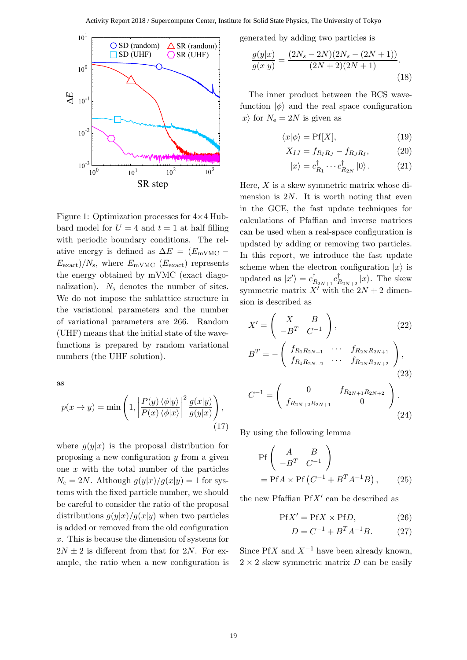

Figure 1: Optimization processes for 4*×*4 Hubbard model for  $U = 4$  and  $t = 1$  at half filling with periodic boundary conditions. The relative energy is defined as  $\Delta E = (E_{\text{mVMC}} E_{\text{exact}}/N_{\text{s}}$ , where  $E_{\text{mVMC}}$  ( $E_{\text{exact}}$ ) represents the energy obtained by mVMC (exact diagonalization). *N*<sup>s</sup> denotes the number of sites. We do not impose the sublattice structure in the variational parameters and the number of variational parameters are 266. Random (UHF) means that the initial state of the wavefunctions is prepared by random variational numbers (the UHF solution).

as

$$
p(x \to y) = \min\left(1, \left| \frac{P(y) \langle \phi | y \rangle}{P(x) \langle \phi | x \rangle} \right|^2 \frac{g(x|y)}{g(y|x)} \right),\tag{17}
$$

where  $g(y|x)$  is the proposal distribution for proposing a new configuration *y* from a given one *x* with the total number of the particles  $N_e = 2N$ . Although  $g(y|x)/g(x|y) = 1$  for systems with the fixed particle number, we should be careful to consider the ratio of the proposal distributions  $g(y|x)/g(x|y)$  when two particles is added or removed from the old configuration *x*. This is because the dimension of systems for  $2N \pm 2$  is different from that for 2*N*. For example, the ratio when a new configuration is generated by adding two particles is

$$
\frac{g(y|x)}{g(x|y)} = \frac{(2N_s - 2N)(2N_s - (2N + 1))}{(2N + 2)(2N + 1)}.\tag{18}
$$

The inner product between the BCS wavefunction  $|\phi\rangle$  and the real space configuration  $|x\rangle$  for  $N_e = 2N$  is given as

$$
\langle x|\phi\rangle = \text{Pf}[X],\tag{19}
$$

$$
X_{IJ} = f_{R_I R_J} - f_{R_J R_I}, \tag{20}
$$

$$
|x\rangle = c_{R_1}^{\dagger} \cdots c_{R_{2N}}^{\dagger} |0\rangle. \tag{21}
$$

Here, *X* is a skew symmetric matrix whose dimension is 2*N*. It is worth noting that even in the GCE, the fast update techniques for calculations of Pfaffian and inverse matrices can be used when a real-space configuration is updated by adding or removing two particles. In this report, we introduce the fast update scheme when the electron configuration  $|x\rangle$  is updated as  $|x'\rangle = c_{R_{2N+1}}^{\dagger} c_{R_{2N+2}}^{\dagger} |x\rangle$ . The skew symmetric matrix  $X'$  with the  $2N + 2$  dimension is described as

$$
X' = \begin{pmatrix} X & B \\ -B^T & C^{-1} \end{pmatrix}, \qquad (22)
$$
  

$$
B^T = -\begin{pmatrix} f_{R_1 R_{2N+1}} & \cdots & f_{R_{2N} R_{2N+1}} \\ f_{R_1 R_{2N+2}} & \cdots & f_{R_{2N} R_{2N+2}} \end{pmatrix}, \qquad (23)
$$

$$
C^{-1} = \begin{pmatrix} 0 & f_{R_{2N+1}R_{2N+2}} \\ f_{R_{2N+2}R_{2N+1}} & 0 \end{pmatrix}.
$$
\n(24)

By using the following lemma

$$
\begin{aligned} &\text{Pf}\left(\begin{array}{cc} A & B \\ -B^T & C^{-1} \end{array}\right) \\ &= \text{Pf}A \times \text{Pf}\left(C^{-1} + B^T A^{-1} B\right), \end{aligned} \tag{25}
$$

the new Pfaffian Pf*X′* can be described as

$$
PfX' = PfX \times PfD, \qquad (26)
$$

$$
D = C^{-1} + B^T A^{-1} B. \tag{27}
$$

Since Pf*X* and  $X^{-1}$  have been already known,  $2 \times 2$  skew symmetric matrix *D* can be easily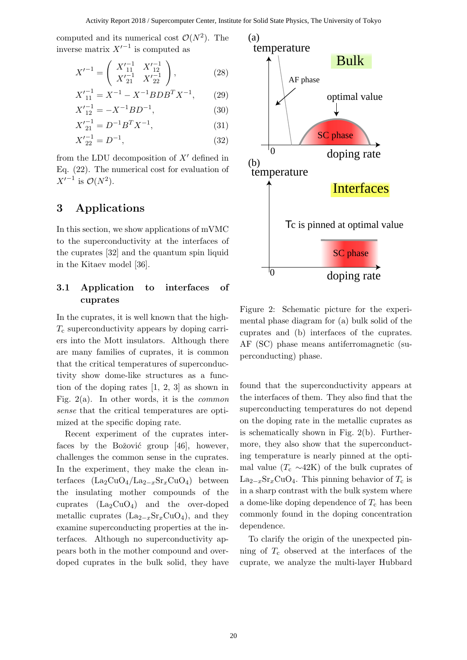computed and its numerical cost  $\mathcal{O}(N^2)$ . The inverse matrix *X′−*<sup>1</sup> is computed as

$$
X'^{-1} = \begin{pmatrix} X'^{-1} & X'^{-1} \\ X'^{-1} & X'^{-1} \\ X'^{-1} & X'^{-1} \\ \end{pmatrix},
$$
 (28)

$$
X_{11}^{\prime -1} = X^{-1} - X^{-1} BDB^T X^{-1},\qquad(29)
$$

$$
X_{12}^{\prime -1} = -X^{-1}BD^{-1},\tag{30}
$$

$$
X_{21}'^{-1} = D^{-1}B^T X^{-1},\tag{31}
$$

$$
X_{22}^{\prime -1} = D^{-1},\tag{32}
$$

from the LDU decomposition of *X′* defined in Eq. (22). The numerical cost for evaluation of  $X'^{-1}$  is  $\mathcal{O}(N^2)$ .

# **3 Applications**

In this section, we show applications of mVMC to the superconductivity at the interfaces of the cuprates [32] and the quantum spin liquid in the Kitaev model [36].

### **3.1 Application to interfaces of cuprates**

In the cuprates, it is well known that the high-*T*<sup>c</sup> superconductivity appears by doping carriers into the Mott insulators. Although there are many families of cuprates, it is common that the critical temperatures of superconductivity show dome-like structures as a function of the doping rates [1, 2, 3] as shown in Fig. 2(a). In other words, it is the *common sense* that the critical temperatures are optimized at the specific doping rate.

Recent experiment of the cuprates interfaces by the Božović group [46], however, challenges the common sense in the cuprates. In the experiment, they make the clean interfaces (La2CuO4/La2*−x*Sr*x*CuO4) between the insulating mother compounds of the cuprates  $(La_2CuO_4)$  and the over-doped metallic cuprates (La<sub>2</sub> $-x$ Sr<sub>*x*</sub>CuO<sub>4</sub>), and they examine superconducting properties at the interfaces. Although no superconductivity appears both in the mother compound and overdoped cuprates in the bulk solid, they have



Figure 2: Schematic picture for the experimental phase diagram for (a) bulk solid of the cuprates and (b) interfaces of the cuprates. AF (SC) phase means antiferromagnetic (superconducting) phase.

found that the superconductivity appears at the interfaces of them. They also find that the superconducting temperatures do not depend on the doping rate in the metallic cuprates as is schematically shown in Fig. 2(b). Furthermore, they also show that the superconducting temperature is nearly pinned at the optimal value  $(T_c \sim 42K)$  of the bulk cuprates of  $\text{La}_{2-x}\text{Sr}_x\text{CuO}_4$ . This pinning behavior of  $T_c$  is in a sharp contrast with the bulk system where a dome-like doping dependence of  $T_c$  has been commonly found in the doping concentration dependence.

To clarify the origin of the unexpected pinning of  $T_c$  observed at the interfaces of the cuprate, we analyze the multi-layer Hubbard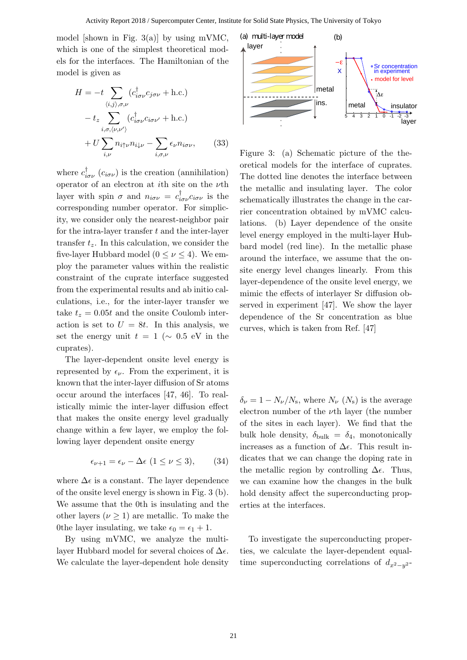model [shown in Fig. 3(a)] by using mVMC, which is one of the simplest theoretical models for the interfaces. The Hamiltonian of the model is given as

$$
H = -t \sum_{\langle i,j \rangle,\sigma,\nu} (c_{i\sigma\nu}^{\dagger} c_{j\sigma\nu} + \text{h.c.})
$$

$$
- t_z \sum_{i,\sigma,\langle\nu,\nu'\rangle} (c_{i\sigma\nu}^{\dagger} c_{i\sigma\nu'} + \text{h.c.})
$$

$$
+ U \sum_{i,\nu} n_{i\uparrow\nu} n_{i\downarrow\nu} - \sum_{i,\sigma,\nu} \epsilon_{\nu} n_{i\sigma\nu}, \qquad (33)
$$

where  $c^{\dagger}_{i\sigma\nu}$  ( $c_{i\sigma\nu}$ ) is the creation (annihilation) operator of an electron at *i*th site on the *ν*th layer with spin  $\sigma$  and  $n_{i\sigma\nu} = c_{i\sigma\nu}^{\dagger} c_{i\sigma\nu}$  is the corresponding number operator. For simplicity, we consider only the nearest-neighbor pair for the intra-layer transfer *t* and the inter-layer transfer  $t_z$ . In this calculation, we consider the five-layer Hubbard model ( $0 \leq \nu \leq 4$ ). We employ the parameter values within the realistic constraint of the cuprate interface suggested from the experimental results and ab initio calculations, i.e., for the inter-layer transfer we take  $t_z = 0.05t$  and the onsite Coulomb interaction is set to  $U = 8t$ . In this analysis, we set the energy unit  $t = 1$  ( $\sim 0.5$  eV in the cuprates).

The layer-dependent onsite level energy is represented by  $\epsilon_{\nu}$ . From the experiment, it is known that the inter-layer diffusion of Sr atoms occur around the interfaces [47, 46]. To realistically mimic the inter-layer diffusion effect that makes the onsite energy level gradually change within a few layer, we employ the following layer dependent onsite energy

$$
\epsilon_{\nu+1} = \epsilon_{\nu} - \Delta \epsilon \ (1 \le \nu \le 3), \qquad (34)
$$

where  $\Delta \epsilon$  is a constant. The layer dependence of the onsite level energy is shown in Fig. 3 (b). We assume that the 0th is insulating and the other layers  $(\nu \geq 1)$  are metallic. To make the 0the layer insulating, we take  $\epsilon_0 = \epsilon_1 + 1$ .

By using mVMC, we analyze the multilayer Hubbard model for several choices of ∆*ϵ*. We calculate the layer-dependent hole density



Figure 3: (a) Schematic picture of the theoretical models for the interface of cuprates. The dotted line denotes the interface between the metallic and insulating layer. The color schematically illustrates the change in the carrier concentration obtained by mVMC calculations. (b) Layer dependence of the onsite level energy employed in the multi-layer Hubbard model (red line). In the metallic phase around the interface, we assume that the onsite energy level changes linearly. From this layer-dependence of the onsite level energy, we mimic the effects of interlayer Sr diffusion observed in experiment [47]. We show the layer dependence of the Sr concentration as blue curves, which is taken from Ref. [47]

 $\delta_{\nu} = 1 - N_{\nu}/N_{\rm s}$ , where  $N_{\nu}$  ( $N_{\rm s}$ ) is the average electron number of the *ν*th layer (the number of the sites in each layer). We find that the bulk hole density,  $\delta_{\text{bulk}} = \delta_4$ , monotonically increases as a function of ∆*ϵ*. This result indicates that we can change the doping rate in the metallic region by controlling  $\Delta \epsilon$ . Thus, we can examine how the changes in the bulk hold density affect the superconducting properties at the interfaces.

To investigate the superconducting properties, we calculate the layer-dependent equaltime superconducting correlations of *dx*2*−<sup>y</sup>* 2 -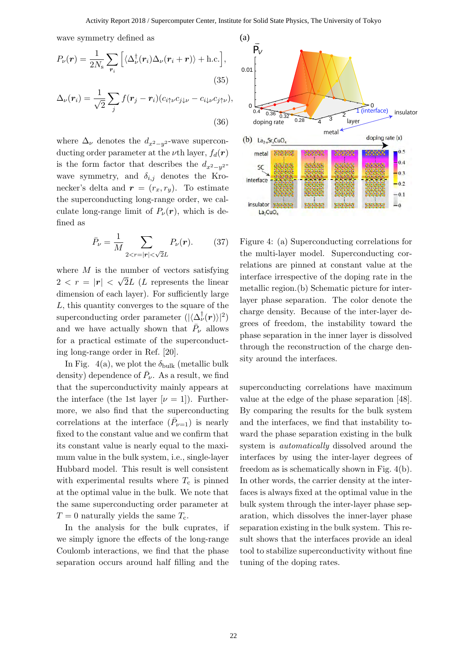wave symmetry defined as

$$
P_{\nu}(\boldsymbol{r}) = \frac{1}{2N_{\rm s}} \sum_{\boldsymbol{r}_i} \left[ \langle \Delta_{\nu}^{\dagger}(\boldsymbol{r}_i) \Delta_{\nu}(\boldsymbol{r}_i + \boldsymbol{r}) \rangle + \text{h.c.} \right],
$$
\n(35)

$$
\Delta_{\nu}(\boldsymbol{r}_{i}) = \frac{1}{\sqrt{2}} \sum_{j} f(\boldsymbol{r}_{j} - \boldsymbol{r}_{i}) (c_{i\uparrow\mu} c_{j\downarrow\mu} - c_{i\downarrow\mu} c_{j\uparrow\mu}),
$$
\n(36)

where  $\Delta_{\nu}$  denotes the  $d_{x^2-y^2}$ -wave superconducting order parameter at the *ν*th layer,  $f_d(\mathbf{r})$ is the form factor that describes the  $d_{x^2-y^2}$ wave symmetry, and  $\delta_{i,j}$  denotes the Kronecker's delta and  $\mathbf{r} = (r_x, r_y)$ . To estimate the superconducting long-range order, we calculate long-range limit of  $P_\nu(\mathbf{r})$ , which is defined as

$$
\bar{P}_{\nu} = \frac{1}{M} \sum_{2 < r = |r| < \sqrt{2}L} P_{\nu}(r). \tag{37}
$$

where *M* is the number of vectors satisfying  $2 < r = |\mathbf{r}| <$ *√* 2*L* (*L* represents the linear dimension of each layer). For sufficiently large *L*, this quantity converges to the square of the superconducting order parameter  $(|\langle \Delta^{\dagger}_{\nu}(\boldsymbol{r}) \rangle|^2)$ and we have actually shown that  $\bar{P}_{\nu}$  allows for a practical estimate of the superconducting long-range order in Ref. [20].

In Fig.  $4(a)$ , we plot the  $\delta_{\text{bulk}}$  (metallic bulk density) dependence of  $\bar{P}_{\nu}$ . As a result, we find that the superconductivity mainly appears at the interface (the 1st layer  $[\nu = 1]$ ). Furthermore, we also find that the superconducting correlations at the interface  $(\bar{P}_{\nu=1})$  is nearly fixed to the constant value and we confirm that its constant value is nearly equal to the maximum value in the bulk system, i.e., single-layer Hubbard model. This result is well consistent with experimental results where  $T_c$  is pinned at the optimal value in the bulk. We note that the same superconducting order parameter at  $T = 0$  naturally yields the same  $T_c$ .

In the analysis for the bulk cuprates, if we simply ignore the effects of the long-range Coulomb interactions, we find that the phase separation occurs around half filling and the



Figure 4: (a) Superconducting correlations for the multi-layer model. Superconducting correlations are pinned at constant value at the interface irrespective of the doping rate in the metallic region.(b) Schematic picture for interlayer phase separation. The color denote the charge density. Because of the inter-layer degrees of freedom, the instability toward the phase separation in the inner layer is dissolved through the reconstruction of the charge density around the interfaces.

superconducting correlations have maximum value at the edge of the phase separation [48]. By comparing the results for the bulk system and the interfaces, we find that instability toward the phase separation existing in the bulk system is *automatically* dissolved around the interfaces by using the inter-layer degrees of freedom as is schematically shown in Fig. 4(b). In other words, the carrier density at the interfaces is always fixed at the optimal value in the bulk system through the inter-layer phase separation, which dissolves the inner-layer phase separation existing in the bulk system. This result shows that the interfaces provide an ideal tool to stabilize superconductivity without fine tuning of the doping rates.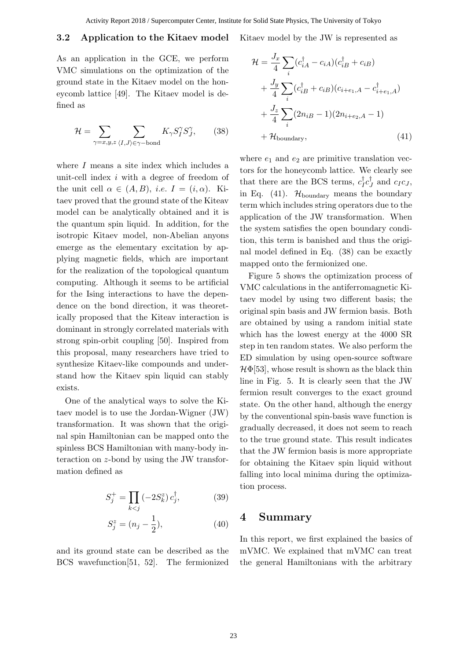### **3.2 Application to the Kitaev model**

As an application in the GCE, we perform VMC simulations on the optimization of the ground state in the Kitaev model on the honeycomb lattice [49]. The Kitaev model is defined as

$$
\mathcal{H} = \sum_{\gamma=x,y,z} \sum_{\langle I,J \rangle \in \gamma-\text{bond}} K_{\gamma} S_{I}^{\gamma} S_{J}^{\gamma},\qquad(38)
$$

where *I* means a site index which includes a unit-cell index *i* with a degree of freedom of the unit cell  $\alpha \in (A, B)$ , *i.e.*  $I = (i, \alpha)$ . Kitaev proved that the ground state of the Kiteav model can be analytically obtained and it is the quantum spin liquid. In addition, for the isotropic Kitaev model, non-Abelian anyons emerge as the elementary excitation by applying magnetic fields, which are important for the realization of the topological quantum computing. Although it seems to be artificial for the Ising interactions to have the dependence on the bond direction, it was theoretically proposed that the Kiteav interaction is dominant in strongly correlated materials with strong spin-orbit coupling [50]. Inspired from this proposal, many researchers have tried to synthesize Kitaev-like compounds and understand how the Kitaev spin liquid can stably exists.

One of the analytical ways to solve the Kitaev model is to use the Jordan-Wigner (JW) transformation. It was shown that the original spin Hamiltonian can be mapped onto the spinless BCS Hamiltonian with many-body interaction on *z*-bond by using the JW transformation defined as

$$
S_j^+ = \prod_{k < j} \left( -2S_k^z \right) c_j^{\dagger},\tag{39}
$$

$$
S_j^z = (n_j - \frac{1}{2}),\tag{40}
$$

and its ground state can be described as the BCS wavefunction[51, 52]. The fermionized

Kitaev model by the JW is represented as

$$
\mathcal{H} = \frac{J_x}{4} \sum_i (c_{iA}^\dagger - c_{iA})(c_{iB}^\dagger + c_{iB})
$$
  
+ 
$$
\frac{J_y}{4} \sum_i (c_{iB}^\dagger + c_{iB})(c_{i+e_1,A} - c_{i+e_1,A}^\dagger)
$$
  
+ 
$$
\frac{J_z}{4} \sum_i (2n_{iB} - 1)(2n_{i+e_2,A} - 1)
$$
  
+ 
$$
\mathcal{H}_{\text{boundary}},
$$
 (41)

where  $e_1$  and  $e_2$  are primitive translation vectors for the honeycomb lattice. We clearly see that there are the BCS terms,  $c_I^{\dagger} c_J^{\dagger}$  and  $c_I c_J$ , in Eq.  $(41)$ .  $\mathcal{H}_{\text{boundary}}$  means the boundary term which includes string operators due to the application of the JW transformation. When the system satisfies the open boundary condition, this term is banished and thus the original model defined in Eq. (38) can be exactly mapped onto the fermionized one.

Figure 5 shows the optimization process of VMC calculations in the antiferromagnetic Kitaev model by using two different basis; the original spin basis and JW fermion basis. Both are obtained by using a random initial state which has the lowest energy at the 4000 SR step in ten random states. We also perform the ED simulation by using open-source software  $\mathcal{H}\Phi$ [53], whose result is shown as the black thin line in Fig. 5. It is clearly seen that the JW fermion result converges to the exact ground state. On the other hand, although the energy by the conventional spin-basis wave function is gradually decreased, it does not seem to reach to the true ground state. This result indicates that the JW fermion basis is more appropriate for obtaining the Kitaev spin liquid without falling into local minima during the optimization process.

### **4 Summary**

In this report, we first explained the basics of mVMC. We explained that mVMC can treat the general Hamiltonians with the arbitrary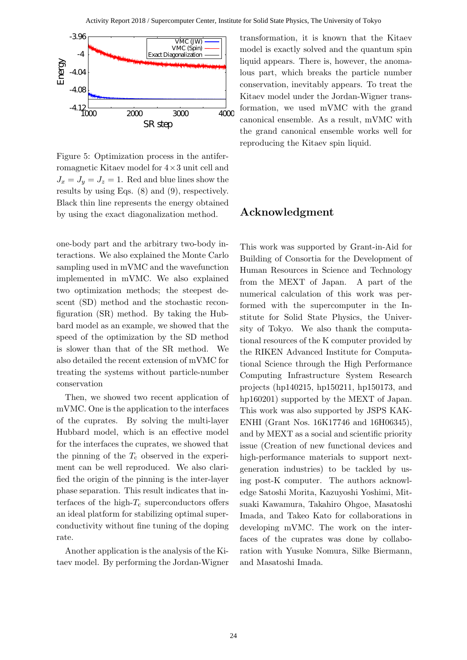

Figure 5: Optimization process in the antiferromagnetic Kitaev model for 4*×*3 unit cell and  $J_x = J_y = J_z = 1$ . Red and blue lines show the results by using Eqs. (8) and (9), respectively. Black thin line represents the energy obtained by using the exact diagonalization method.

one-body part and the arbitrary two-body interactions. We also explained the Monte Carlo sampling used in mVMC and the wavefunction implemented in mVMC. We also explained two optimization methods; the steepest descent (SD) method and the stochastic reconfiguration (SR) method. By taking the Hubbard model as an example, we showed that the speed of the optimization by the SD method is slower than that of the SR method. We also detailed the recent extension of mVMC for treating the systems without particle-number conservation

Then, we showed two recent application of mVMC. One is the application to the interfaces of the cuprates. By solving the multi-layer Hubbard model, which is an effective model for the interfaces the cuprates, we showed that the pinning of the  $T_c$  observed in the experiment can be well reproduced. We also clarified the origin of the pinning is the inter-layer phase separation. This result indicates that interfaces of the high- $T_c$  superconductors offers an ideal platform for stabilizing optimal superconductivity without fine tuning of the doping rate.

Another application is the analysis of the Kitaev model. By performing the Jordan-Wigner transformation, it is known that the Kitaev model is exactly solved and the quantum spin liquid appears. There is, however, the anomalous part, which breaks the particle number conservation, inevitably appears. To treat the Kitaev model under the Jordan-Wigner transformation, we used mVMC with the grand canonical ensemble. As a result, mVMC with the grand canonical ensemble works well for reproducing the Kitaev spin liquid.

# **Acknowledgment**

This work was supported by Grant-in-Aid for Building of Consortia for the Development of Human Resources in Science and Technology from the MEXT of Japan. A part of the numerical calculation of this work was performed with the supercomputer in the Institute for Solid State Physics, the University of Tokyo. We also thank the computational resources of the K computer provided by the RIKEN Advanced Institute for Computational Science through the High Performance Computing Infrastructure System Research projects (hp140215, hp150211, hp150173, and hp160201) supported by the MEXT of Japan. This work was also supported by JSPS KAK-ENHI (Grant Nos. 16K17746 and 16H06345), and by MEXT as a social and scientific priority issue (Creation of new functional devices and high-performance materials to support nextgeneration industries) to be tackled by using post-K computer. The authors acknowledge Satoshi Morita, Kazuyoshi Yoshimi, Mitsuaki Kawamura, Takahiro Ohgoe, Masatoshi Imada, and Takeo Kato for collaborations in developing mVMC. The work on the interfaces of the cuprates was done by collaboration with Yusuke Nomura, Silke Biermann, and Masatoshi Imada.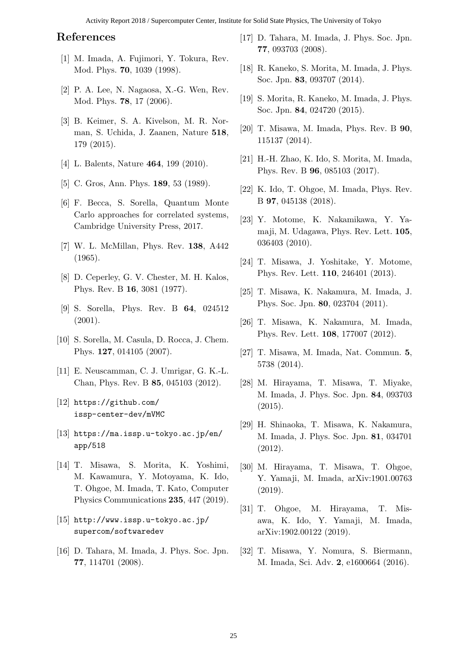Activity Report 2018 / Supercomputer Center, Institute for Solid State Physics, The University of Tokyo

# **References**

- [1] M. Imada, A. Fujimori, Y. Tokura, Rev. Mod. Phys. **70**, 1039 (1998).
- [2] P. A. Lee, N. Nagaosa, X.-G. Wen, Rev. Mod. Phys. **78**, 17 (2006).
- [3] B. Keimer, S. A. Kivelson, M. R. Norman, S. Uchida, J. Zaanen, Nature **518**, 179 (2015).
- [4] L. Balents, Nature **464**, 199 (2010).
- [5] C. Gros, Ann. Phys. **189**, 53 (1989).
- [6] F. Becca, S. Sorella, Quantum Monte Carlo approaches for correlated systems, Cambridge University Press, 2017.
- [7] W. L. McMillan, Phys. Rev. **138**, A442 (1965).
- [8] D. Ceperley, G. V. Chester, M. H. Kalos, Phys. Rev. B **16**, 3081 (1977).
- [9] S. Sorella, Phys. Rev. B **64**, 024512 (2001).
- [10] S. Sorella, M. Casula, D. Rocca, J. Chem. Phys. **127**, 014105 (2007).
- [11] E. Neuscamman, C. J. Umrigar, G. K.-L. Chan, Phys. Rev. B **85**, 045103 (2012).
- [12] https://github.com/ issp-center-dev/mVMC
- [13] https://ma.issp.u-tokyo.ac.jp/en/ app/518
- [14] T. Misawa, S. Morita, K. Yoshimi, M. Kawamura, Y. Motoyama, K. Ido, T. Ohgoe, M. Imada, T. Kato, Computer Physics Communications **235**, 447 (2019).
- [15] http://www.issp.u-tokyo.ac.jp/ supercom/softwaredev
- [16] D. Tahara, M. Imada, J. Phys. Soc. Jpn. **77**, 114701 (2008).
- [17] D. Tahara, M. Imada, J. Phys. Soc. Jpn. **77**, 093703 (2008).
- [18] R. Kaneko, S. Morita, M. Imada, J. Phys. Soc. Jpn. **83**, 093707 (2014).
- [19] S. Morita, R. Kaneko, M. Imada, J. Phys. Soc. Jpn. **84**, 024720 (2015).
- [20] T. Misawa, M. Imada, Phys. Rev. B **90**, 115137 (2014).
- [21] H.-H. Zhao, K. Ido, S. Morita, M. Imada, Phys. Rev. B **96**, 085103 (2017).
- [22] K. Ido, T. Ohgoe, M. Imada, Phys. Rev. B **97**, 045138 (2018).
- [23] Y. Motome, K. Nakamikawa, Y. Yamaji, M. Udagawa, Phys. Rev. Lett. **105**, 036403 (2010).
- [24] T. Misawa, J. Yoshitake, Y. Motome, Phys. Rev. Lett. **110**, 246401 (2013).
- [25] T. Misawa, K. Nakamura, M. Imada, J. Phys. Soc. Jpn. **80**, 023704 (2011).
- [26] T. Misawa, K. Nakamura, M. Imada, Phys. Rev. Lett. **108**, 177007 (2012).
- [27] T. Misawa, M. Imada, Nat. Commun. **5**, 5738 (2014).
- [28] M. Hirayama, T. Misawa, T. Miyake, M. Imada, J. Phys. Soc. Jpn. **84**, 093703 (2015).
- [29] H. Shinaoka, T. Misawa, K. Nakamura, M. Imada, J. Phys. Soc. Jpn. **81**, 034701 (2012).
- [30] M. Hirayama, T. Misawa, T. Ohgoe, Y. Yamaji, M. Imada, arXiv:1901.00763 (2019).
- [31] T. Ohgoe, M. Hirayama, T. Misawa, K. Ido, Y. Yamaji, M. Imada, arXiv:1902.00122 (2019).
- [32] T. Misawa, Y. Nomura, S. Biermann, M. Imada, Sci. Adv. **2**, e1600664 (2016).